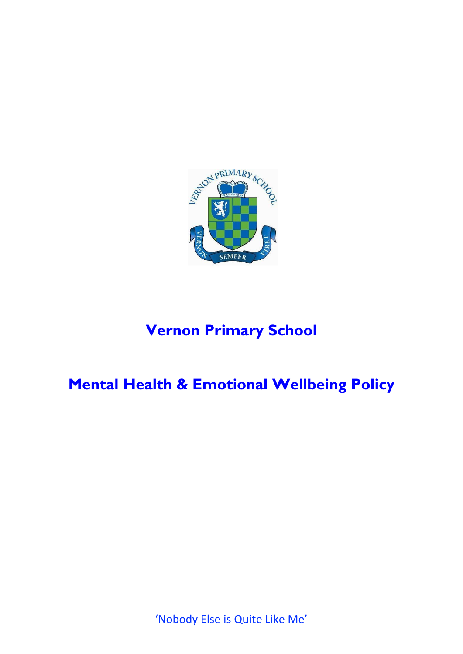

# **Vernon Primary School**

# **Mental Health & Emotional Wellbeing Policy**

'Nobody Else is Quite Like Me'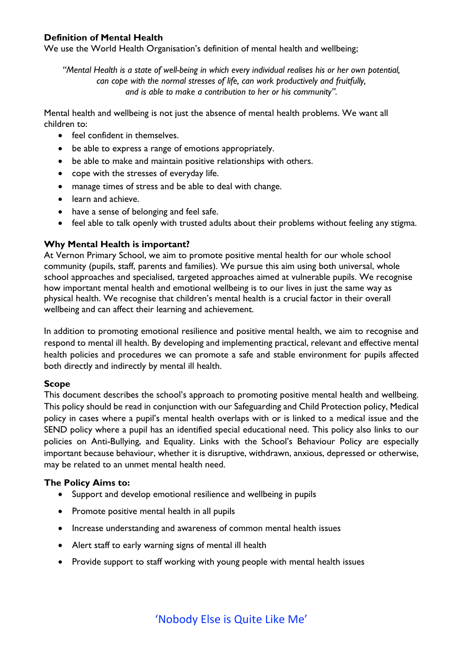## **Definition of Mental Health**

We use the World Health Organisation's definition of mental health and wellbeing;

*"Mental Health is a state of well-being in which every individual realises his or her own potential, can cope with the normal stresses of life, can work productively and fruitfully, and is able to make a contribution to her or his community".*

Mental health and wellbeing is not just the absence of mental health problems. We want all children to:

- feel confident in themselves.
- be able to express a range of emotions appropriately.
- be able to make and maintain positive relationships with others.
- cope with the stresses of everyday life.
- manage times of stress and be able to deal with change.
- learn and achieve.
- have a sense of belonging and feel safe.
- feel able to talk openly with trusted adults about their problems without feeling any stigma.

#### **Why Mental Health is important?**

At Vernon Primary School, we aim to promote positive mental health for our whole school community (pupils, staff, parents and families). We pursue this aim using both universal, whole school approaches and specialised, targeted approaches aimed at vulnerable pupils. We recognise how important mental health and emotional wellbeing is to our lives in just the same way as physical health. We recognise that children's mental health is a crucial factor in their overall wellbeing and can affect their learning and achievement.

In addition to promoting emotional resilience and positive mental health, we aim to recognise and respond to mental ill health. By developing and implementing practical, relevant and effective mental health policies and procedures we can promote a safe and stable environment for pupils affected both directly and indirectly by mental ill health.

#### **Scope**

This document describes the school's approach to promoting positive mental health and wellbeing. This policy should be read in conjunction with our Safeguarding and Child Protection policy, Medical policy in cases where a pupil's mental health overlaps with or is linked to a medical issue and the SEND policy where a pupil has an identified special educational need. This policy also links to our policies on Anti-Bullying, and Equality. Links with the School's Behaviour Policy are especially important because behaviour, whether it is disruptive, withdrawn, anxious, depressed or otherwise, may be related to an unmet mental health need.

#### **The Policy Aims to:**

- Support and develop emotional resilience and wellbeing in pupils
- Promote positive mental health in all pupils
- Increase understanding and awareness of common mental health issues
- Alert staff to early warning signs of mental ill health
- Provide support to staff working with young people with mental health issues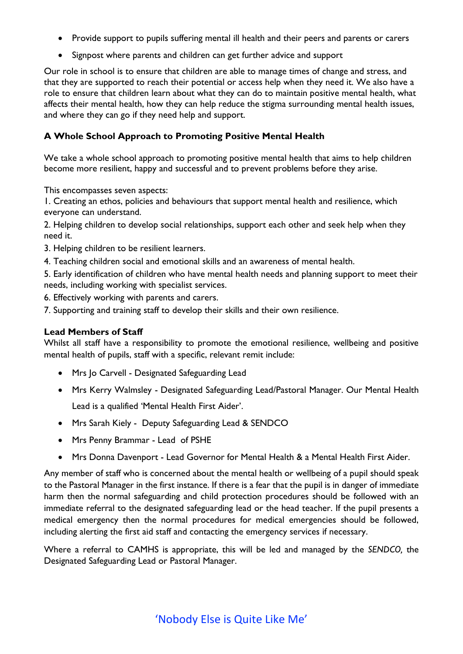- Provide support to pupils suffering mental ill health and their peers and parents or carers
- Signpost where parents and children can get further advice and support

Our role in school is to ensure that children are able to manage times of change and stress, and that they are supported to reach their potential or access help when they need it. We also have a role to ensure that children learn about what they can do to maintain positive mental health, what affects their mental health, how they can help reduce the stigma surrounding mental health issues, and where they can go if they need help and support.

## **A Whole School Approach to Promoting Positive Mental Health**

We take a whole school approach to promoting positive mental health that aims to help children become more resilient, happy and successful and to prevent problems before they arise.

This encompasses seven aspects:

1. Creating an ethos, policies and behaviours that support mental health and resilience, which everyone can understand.

2. Helping children to develop social relationships, support each other and seek help when they need it.

- 3. Helping children to be resilient learners.
- 4. Teaching children social and emotional skills and an awareness of mental health.

5. Early identification of children who have mental health needs and planning support to meet their needs, including working with specialist services.

6. Effectively working with parents and carers.

7. Supporting and training staff to develop their skills and their own resilience.

#### **Lead Members of Staff**

Whilst all staff have a responsibility to promote the emotional resilience, wellbeing and positive mental health of pupils, staff with a specific, relevant remit include:

- Mrs Jo Carvell Designated Safeguarding Lead
- Mrs Kerry Walmsley Designated Safeguarding Lead/Pastoral Manager. Our Mental Health Lead is a qualified 'Mental Health First Aider'.

- Mrs Sarah Kiely Deputy Safeguarding Lead & SENDCO
- Mrs Penny Brammar Lead of PSHE
- Mrs Donna Davenport Lead Governor for Mental Health & a Mental Health First Aider.

Any member of staff who is concerned about the mental health or wellbeing of a pupil should speak to the Pastoral Manager in the first instance. If there is a fear that the pupil is in danger of immediate harm then the normal safeguarding and child protection procedures should be followed with an immediate referral to the designated safeguarding lead or the head teacher. If the pupil presents a medical emergency then the normal procedures for medical emergencies should be followed, including alerting the first aid staff and contacting the emergency services if necessary.

Where a referral to CAMHS is appropriate, this will be led and managed by the *SENDCO,* the Designated Safeguarding Lead or Pastoral Manager.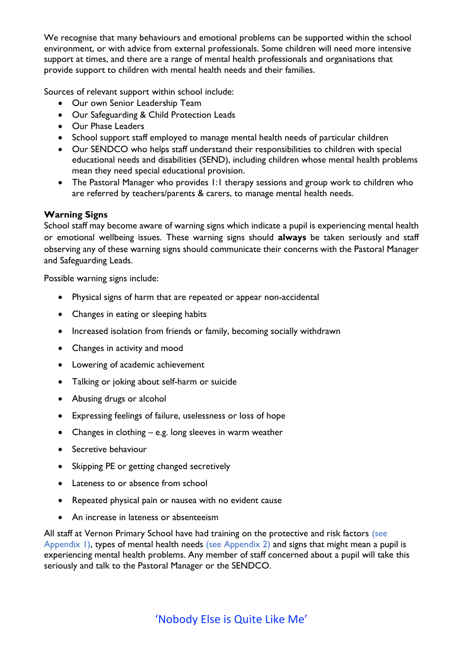We recognise that many behaviours and emotional problems can be supported within the school environment, or with advice from external professionals. Some children will need more intensive support at times, and there are a range of mental health professionals and organisations that provide support to children with mental health needs and their families.

Sources of relevant support within school include:

- Our own Senior Leadership Team
- Our Safeguarding & Child Protection Leads
- Our Phase Leaders
- School support staff employed to manage mental health needs of particular children
- Our SENDCO who helps staff understand their responsibilities to children with special educational needs and disabilities (SEND), including children whose mental health problems mean they need special educational provision.
- The Pastoral Manager who provides 1:1 therapy sessions and group work to children who are referred by teachers/parents & carers, to manage mental health needs.

## **Warning Signs**

School staff may become aware of warning signs which indicate a pupil is experiencing mental health or emotional wellbeing issues. These warning signs should **always** be taken seriously and staff observing any of these warning signs should communicate their concerns with the Pastoral Manager and Safeguarding Leads.

Possible warning signs include:

- Physical signs of harm that are repeated or appear non-accidental
- Changes in eating or sleeping habits
- Increased isolation from friends or family, becoming socially withdrawn
- Changes in activity and mood
- Lowering of academic achievement
- Talking or joking about self-harm or suicide
- Abusing drugs or alcohol
- Expressing feelings of failure, uselessness or loss of hope
- Changes in clothing e.g. long sleeves in warm weather
- Secretive behaviour
- Skipping PE or getting changed secretively
- Lateness to or absence from school
- Repeated physical pain or nausea with no evident cause
- An increase in lateness or absenteeism

All staff at Vernon Primary School have had training on the protective and risk factors (see Appendix 1), types of mental health needs (see Appendix 2) and signs that might mean a pupil is experiencing mental health problems. Any member of staff concerned about a pupil will take this seriously and talk to the Pastoral Manager or the SENDCO.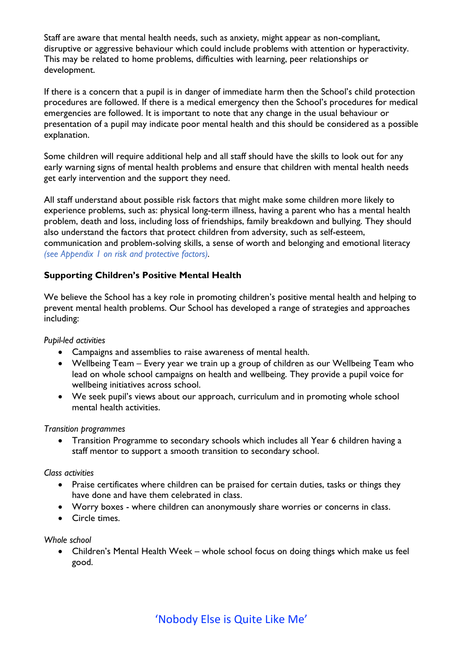Staff are aware that mental health needs, such as anxiety, might appear as non-compliant, disruptive or aggressive behaviour which could include problems with attention or hyperactivity. This may be related to home problems, difficulties with learning, peer relationships or development.

If there is a concern that a pupil is in danger of immediate harm then the School's child protection procedures are followed. If there is a medical emergency then the School's procedures for medical emergencies are followed. It is important to note that any change in the usual behaviour or presentation of a pupil may indicate poor mental health and this should be considered as a possible explanation.

Some children will require additional help and all staff should have the skills to look out for any early warning signs of mental health problems and ensure that children with mental health needs get early intervention and the support they need.

All staff understand about possible risk factors that might make some children more likely to experience problems, such as: physical long-term illness, having a parent who has a mental health problem, death and loss, including loss of friendships, family breakdown and bullying. They should also understand the factors that protect children from adversity, such as self-esteem, communication and problem-solving skills, a sense of worth and belonging and emotional literacy *(see Appendix 1 on risk and protective factors).*

## **Supporting Children's Positive Mental Health**

We believe the School has a key role in promoting children's positive mental health and helping to prevent mental health problems. Our School has developed a range of strategies and approaches including:

*Pupil-led activities* 

- Campaigns and assemblies to raise awareness of mental health.
- Wellbeing Team Every year we train up a group of children as our Wellbeing Team who lead on whole school campaigns on health and wellbeing. They provide a pupil voice for wellbeing initiatives across school.
- We seek pupil's views about our approach, curriculum and in promoting whole school mental health activities.

#### *Transition programmes*

• Transition Programme to secondary schools which includes all Year 6 children having a staff mentor to support a smooth transition to secondary school.

*Class activities* 

- Praise certificates where children can be praised for certain duties, tasks or things they have done and have them celebrated in class.
- Worry boxes where children can anonymously share worries or concerns in class.
- Circle times.

*Whole school* 

• Children's Mental Health Week – whole school focus on doing things which make us feel good.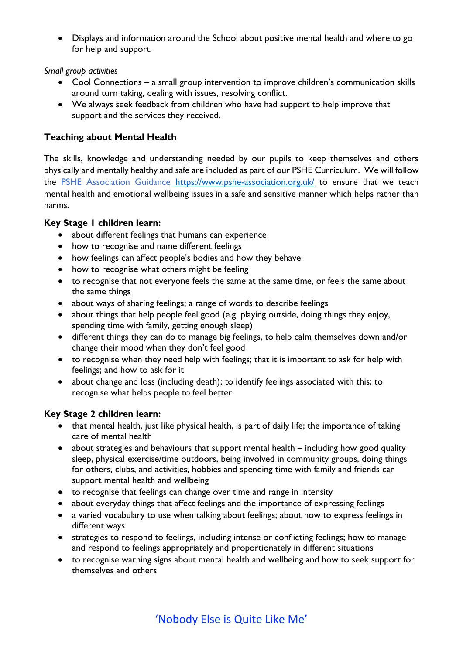Displays and information around the School about positive mental health and where to go for help and support.

*Small group activities* 

- Cool Connections a small group intervention to improve children's communication skills around turn taking, dealing with issues, resolving conflict.
- We always seek feedback from children who have had support to help improve that support and the services they received.

## **Teaching about Mental Health**

The skills, knowledge and understanding needed by our pupils to keep themselves and others physically and mentally healthy and safe are included as part of our PSHE Curriculum. We will follow the PSHE Association Guidance <https://www.pshe-association.org.uk/> to ensure that we teach mental health and emotional wellbeing issues in a safe and sensitive manner which helps rather than harms.

## **Key Stage 1 children learn:**

- about different feelings that humans can experience
- how to recognise and name different feelings
- how feelings can affect people's bodies and how they behave
- how to recognise what others might be feeling
- to recognise that not everyone feels the same at the same time, or feels the same about the same things
- about ways of sharing feelings; a range of words to describe feelings
- about things that help people feel good (e.g. playing outside, doing things they enjoy, spending time with family, getting enough sleep)
- different things they can do to manage big feelings, to help calm themselves down and/or change their mood when they don't feel good
- to recognise when they need help with feelings; that it is important to ask for help with feelings; and how to ask for it
- about change and loss (including death); to identify feelings associated with this; to recognise what helps people to feel better

## **Key Stage 2 children learn:**

- that mental health, just like physical health, is part of daily life; the importance of taking care of mental health
- about strategies and behaviours that support mental health including how good quality sleep, physical exercise/time outdoors, being involved in community groups, doing things for others, clubs, and activities, hobbies and spending time with family and friends can support mental health and wellbeing
- to recognise that feelings can change over time and range in intensity
- about everyday things that affect feelings and the importance of expressing feelings
- a varied vocabulary to use when talking about feelings; about how to express feelings in different ways
- strategies to respond to feelings, including intense or conflicting feelings; how to manage and respond to feelings appropriately and proportionately in different situations
- to recognise warning signs about mental health and wellbeing and how to seek support for themselves and others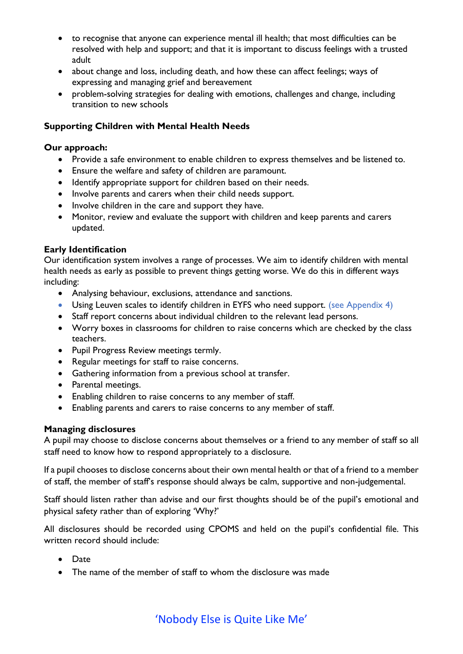- to recognise that anyone can experience mental ill health; that most difficulties can be resolved with help and support; and that it is important to discuss feelings with a trusted adult
- about change and loss, including death, and how these can affect feelings; ways of expressing and managing grief and bereavement
- problem-solving strategies for dealing with emotions, challenges and change, including transition to new schools

## **Supporting Children with Mental Health Needs**

#### **Our approach:**

- Provide a safe environment to enable children to express themselves and be listened to.
- Ensure the welfare and safety of children are paramount.
- Identify appropriate support for children based on their needs.
- Involve parents and carers when their child needs support.
- Involve children in the care and support they have.
- Monitor, review and evaluate the support with children and keep parents and carers updated.

#### **Early Identification**

Our identification system involves a range of processes. We aim to identify children with mental health needs as early as possible to prevent things getting worse. We do this in different ways including:

- Analysing behaviour, exclusions, attendance and sanctions.
- Using Leuven scales to identify children in EYFS who need support. (see Appendix 4)
- Staff report concerns about individual children to the relevant lead persons.
- Worry boxes in classrooms for children to raise concerns which are checked by the class teachers.
- Pupil Progress Review meetings termly.
- Regular meetings for staff to raise concerns.
- Gathering information from a previous school at transfer.
- Parental meetings.
- Enabling children to raise concerns to any member of staff.
- Enabling parents and carers to raise concerns to any member of staff.

#### **Managing disclosures**

A pupil may choose to disclose concerns about themselves or a friend to any member of staff so all staff need to know how to respond appropriately to a disclosure.

If a pupil chooses to disclose concerns about their own mental health or that of a friend to a member of staff, the member of staff's response should always be calm, supportive and non-judgemental.

Staff should listen rather than advise and our first thoughts should be of the pupil's emotional and physical safety rather than of exploring 'Why?'

All disclosures should be recorded using CPOMS and held on the pupil's confidential file. This written record should include:

- Date
- The name of the member of staff to whom the disclosure was made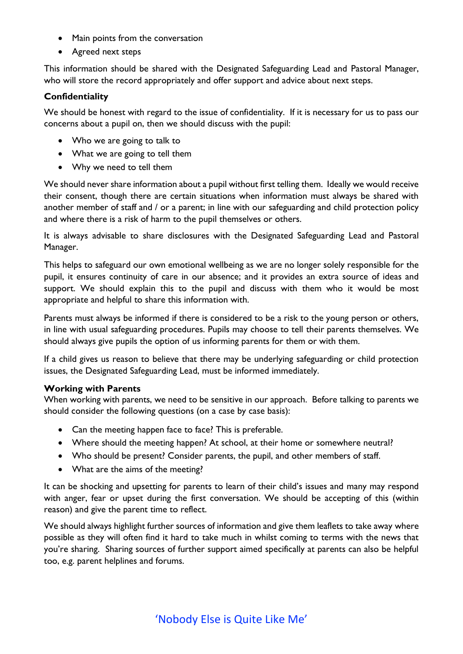- Main points from the conversation
- Agreed next steps

This information should be shared with the Designated Safeguarding Lead and Pastoral Manager, who will store the record appropriately and offer support and advice about next steps.

#### **Confidentiality**

We should be honest with regard to the issue of confidentiality. If it is necessary for us to pass our concerns about a pupil on, then we should discuss with the pupil:

- Who we are going to talk to
- What we are going to tell them
- Why we need to tell them

We should never share information about a pupil without first telling them. Ideally we would receive their consent, though there are certain situations when information must always be shared with another member of staff and / or a parent; in line with our safeguarding and child protection policy and where there is a risk of harm to the pupil themselves or others.

It is always advisable to share disclosures with the Designated Safeguarding Lead and Pastoral Manager.

This helps to safeguard our own emotional wellbeing as we are no longer solely responsible for the pupil, it ensures continuity of care in our absence; and it provides an extra source of ideas and support. We should explain this to the pupil and discuss with them who it would be most appropriate and helpful to share this information with.

Parents must always be informed if there is considered to be a risk to the young person or others, in line with usual safeguarding procedures. Pupils may choose to tell their parents themselves. We should always give pupils the option of us informing parents for them or with them.

If a child gives us reason to believe that there may be underlying safeguarding or child protection issues, the Designated Safeguarding Lead, must be informed immediately.

#### **Working with Parents**

When working with parents, we need to be sensitive in our approach. Before talking to parents we should consider the following questions (on a case by case basis):

- Can the meeting happen face to face? This is preferable.
- Where should the meeting happen? At school, at their home or somewhere neutral?
- Who should be present? Consider parents, the pupil, and other members of staff.
- What are the aims of the meeting?

It can be shocking and upsetting for parents to learn of their child's issues and many may respond with anger, fear or upset during the first conversation. We should be accepting of this (within reason) and give the parent time to reflect.

We should always highlight further sources of information and give them leaflets to take away where possible as they will often find it hard to take much in whilst coming to terms with the news that you're sharing. Sharing sources of further support aimed specifically at parents can also be helpful too, e.g. parent helplines and forums.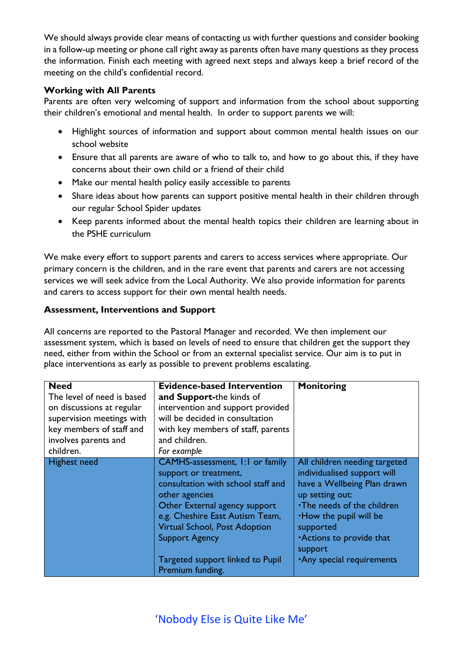We should always provide clear means of contacting us with further questions and consider booking in a follow-up meeting or phone call right away as parents often have many questions as they process the information. Finish each meeting with agreed next steps and always keep a brief record of the meeting on the child's confidential record.

## **Working with All Parents**

Parents are often very welcoming of support and information from the school about supporting their children's emotional and mental health. In order to support parents we will:

- Highlight sources of information and support about common mental health issues on our school website
- Ensure that all parents are aware of who to talk to, and how to go about this, if they have concerns about their own child or a friend of their child
- Make our mental health policy easily accessible to parents
- Share ideas about how parents can support positive mental health in their children through our regular School Spider updates
- Keep parents informed about the mental health topics their children are learning about in the PSHE curriculum

We make every effort to support parents and carers to access services where appropriate. Our primary concern is the children, and in the rare event that parents and carers are not accessing services we will seek advice from the Local Authority. We also provide information for parents and carers to access support for their own mental health needs.

## **Assessment, Interventions and Support**

All concerns are reported to the Pastoral Manager and recorded. We then implement our assessment system, which is based on levels of need to ensure that children get the support they need, either from within the School or from an external specialist service. Our aim is to put in place interventions as early as possible to prevent problems escalating.

| <b>Need</b><br>The level of need is based<br>on discussions at regular<br>supervision meetings with<br>key members of staff and<br>involves parents and<br>children. | <b>Evidence-based Intervention</b><br>and Support-the kinds of<br>intervention and support provided<br>will be decided in consultation<br>with key members of staff, parents<br>and children.<br>For example                                                                                                  | <b>Monitoring</b>                                                                                                                                                                                                                                      |
|----------------------------------------------------------------------------------------------------------------------------------------------------------------------|---------------------------------------------------------------------------------------------------------------------------------------------------------------------------------------------------------------------------------------------------------------------------------------------------------------|--------------------------------------------------------------------------------------------------------------------------------------------------------------------------------------------------------------------------------------------------------|
| <b>Highest need</b>                                                                                                                                                  | CAMHS-assessment, 1:1 or family<br>support or treatment,<br>consultation with school staff and<br>other agencies<br>Other External agency support<br>e.g. Cheshire East Autism Team,<br><b>Virtual School, Post Adoption</b><br><b>Support Agency</b><br>Targeted support linked to Pupil<br>Premium funding. | All children needing targeted<br>individualised support will<br>have a Wellbeing Plan drawn<br>up setting out:<br>.The needs of the children<br>. How the pupil will be<br>supported<br>Actions to provide that<br>support<br>Any special requirements |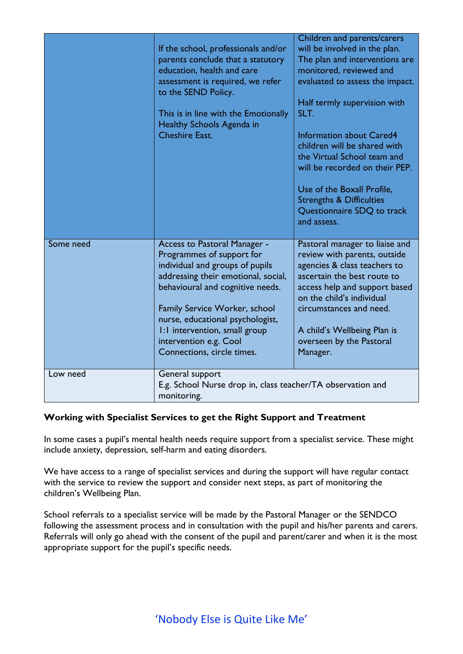|           | If the school, professionals and/or<br>parents conclude that a statutory<br>education, health and care<br>assessment is required, we refer<br>to the SEND Policy.<br>This is in line with the Emotionally<br><b>Healthy Schools Agenda in</b><br><b>Cheshire East.</b>                                                                | Children and parents/carers<br>will be involved in the plan.<br>The plan and interventions are<br>monitored, reviewed and<br>evaluated to assess the impact.<br>Half termly supervision with<br>SLT.<br><b>Information about Cared4</b><br>children will be shared with<br>the Virtual School team and<br>will be recorded on their PEP.<br>Use of the Boxall Profile,<br><b>Strengths &amp; Difficulties</b><br>Questionnaire SDQ to track<br>and assess. |
|-----------|---------------------------------------------------------------------------------------------------------------------------------------------------------------------------------------------------------------------------------------------------------------------------------------------------------------------------------------|------------------------------------------------------------------------------------------------------------------------------------------------------------------------------------------------------------------------------------------------------------------------------------------------------------------------------------------------------------------------------------------------------------------------------------------------------------|
| Some need | Access to Pastoral Manager -<br>Programmes of support for<br>individual and groups of pupils<br>addressing their emotional, social,<br>behavioural and cognitive needs.<br>Family Service Worker, school<br>nurse, educational psychologist,<br>1:1 intervention, small group<br>intervention e.g. Cool<br>Connections, circle times. | Pastoral manager to liaise and<br>review with parents, outside<br>agencies & class teachers to<br>ascertain the best route to<br>access help and support based<br>on the child's individual<br>circumstances and need.<br>A child's Wellbeing Plan is<br>overseen by the Pastoral<br>Manager.                                                                                                                                                              |
| Low need  | General support<br>E.g. School Nurse drop in, class teacher/TA observation and<br>monitoring.                                                                                                                                                                                                                                         |                                                                                                                                                                                                                                                                                                                                                                                                                                                            |

## **Working with Specialist Services to get the Right Support and Treatment**

In some cases a pupil's mental health needs require support from a specialist service. These might include anxiety, depression, self-harm and eating disorders.

We have access to a range of specialist services and during the support will have regular contact with the service to review the support and consider next steps, as part of monitoring the children's Wellbeing Plan.

School referrals to a specialist service will be made by the Pastoral Manager or the SENDCO following the assessment process and in consultation with the pupil and his/her parents and carers. Referrals will only go ahead with the consent of the pupil and parent/carer and when it is the most appropriate support for the pupil's specific needs.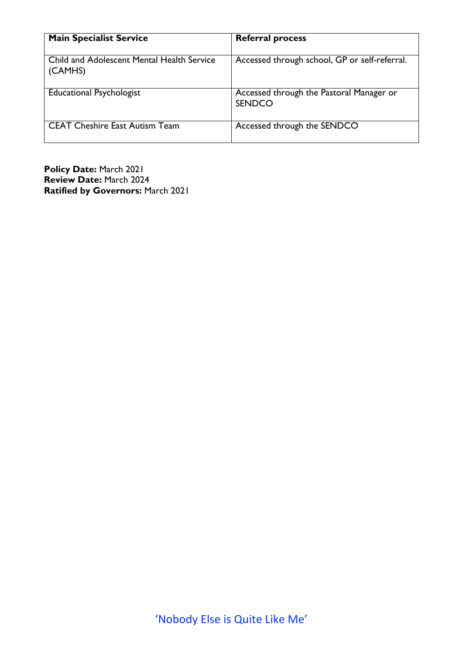| <b>Main Specialist Service</b>                        | <b>Referral process</b>                                   |
|-------------------------------------------------------|-----------------------------------------------------------|
| Child and Adolescent Mental Health Service<br>(CAMHS) | Accessed through school, GP or self-referral.             |
| <b>Educational Psychologist</b>                       | Accessed through the Pastoral Manager or<br><b>SENDCO</b> |
| <b>CEAT Cheshire East Autism Team</b>                 | Accessed through the SENDCO                               |

**Policy Date:** March 2021 **Review Date:** March 2024 **Ratified by Governors:** March 2021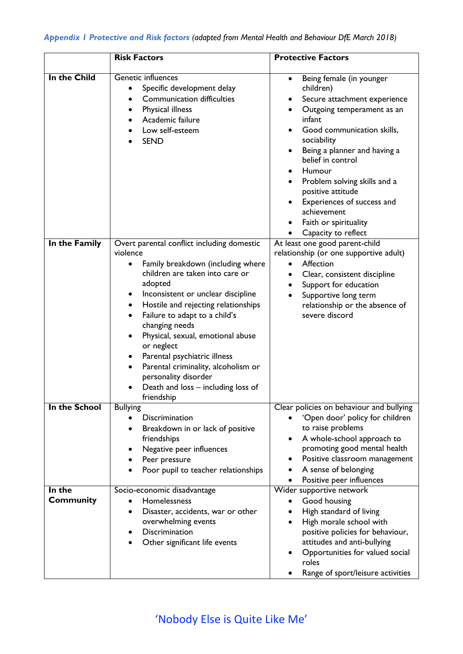|                            | <b>Risk Factors</b>                                                                                                                                                                                                                                                                                                                                                                                                                                                                                                      | <b>Protective Factors</b>                                                                                                                                                                                                                                                                                                                                                   |
|----------------------------|--------------------------------------------------------------------------------------------------------------------------------------------------------------------------------------------------------------------------------------------------------------------------------------------------------------------------------------------------------------------------------------------------------------------------------------------------------------------------------------------------------------------------|-----------------------------------------------------------------------------------------------------------------------------------------------------------------------------------------------------------------------------------------------------------------------------------------------------------------------------------------------------------------------------|
| In the Child               | Genetic influences<br>Specific development delay<br><b>Communication difficulties</b><br>Physical illness<br>٠<br>Academic failure<br>Low self-esteem<br><b>SEND</b>                                                                                                                                                                                                                                                                                                                                                     | Being female (in younger<br>children)<br>Secure attachment experience<br>Outgoing temperament as an<br>infant<br>Good communication skills,<br>sociability<br>Being a planner and having a<br>belief in control<br>Humour<br>Problem solving skills and a<br>positive attitude<br>Experiences of success and<br>achievement<br>Faith or spirituality<br>Capacity to reflect |
| In the Family              | Overt parental conflict including domestic<br>violence<br>Family breakdown (including where<br>$\bullet$<br>children are taken into care or<br>adopted<br>Inconsistent or unclear discipline<br>٠<br>Hostile and rejecting relationships<br>٠<br>Failure to adapt to a child's<br>$\bullet$<br>changing needs<br>Physical, sexual, emotional abuse<br>or neglect<br>Parental psychiatric illness<br>Parental criminality, alcoholism or<br>٠<br>personality disorder<br>Death and loss - including loss of<br>friendship | At least one good parent-child<br>relationship (or one supportive adult)<br>Affection<br>Clear, consistent discipline<br>Support for education<br>Supportive long term<br>relationship or the absence of<br>severe discord                                                                                                                                                  |
| In the School              | <b>Bullying</b><br>Discrimination<br>Breakdown in or lack of positive<br>friendships<br>Negative peer influences<br>٠<br>Peer pressure<br>Poor pupil to teacher relationships                                                                                                                                                                                                                                                                                                                                            | Clear policies on behaviour and bullying<br>'Open door' policy for children<br>to raise problems<br>A whole-school approach to<br>promoting good mental health<br>Positive classroom management<br>A sense of belonging<br>Positive peer influences                                                                                                                         |
| In the<br><b>Community</b> | Socio-economic disadvantage<br>Homelessness<br>$\bullet$<br>Disaster, accidents, war or other<br>$\bullet$<br>overwhelming events<br>Discrimination<br>$\bullet$<br>Other significant life events                                                                                                                                                                                                                                                                                                                        | Wider supportive network<br>Good housing<br>High standard of living<br>High morale school with<br>positive policies for behaviour,<br>attitudes and anti-bullying<br>Opportunities for valued social<br>roles<br>Range of sport/leisure activities                                                                                                                          |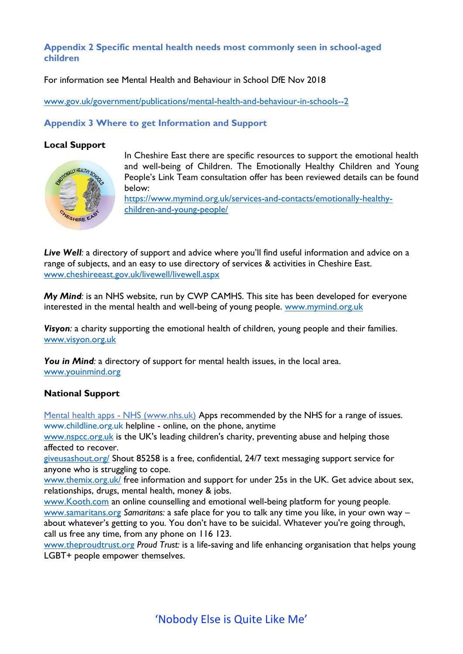#### **Appendix 2 Specific mental health needs most commonly seen in school-aged children**

For information see Mental Health and Behaviour in School DfE Nov 2018

www.gov.uk/government/publications/mental-health-and-behaviour-in-schools--2

**Appendix 3 Where to get Information and Support**

#### **Local Support**



In Cheshire East there are specific resources to support the emotional health and well-being of Children. The Emotionally Healthy Children and Young People's Link Team consultation offer has been reviewed details can be found below: [https://www.mymind.org.uk/services-and-contacts/emotionally-healthy](https://www.mymind.org.uk/services-and-contacts/emotionally-healthy-children-and-young-people/)[children-and-young-people/](https://www.mymind.org.uk/services-and-contacts/emotionally-healthy-children-and-young-people/)

*Live Well:* a directory of support and advice where you'll find useful information and advice on a range of subjects, and an easy to use directory of services & activities in Cheshire East. [www.cheshireeast.gov.uk/livewell/livewell.aspx](http://www.cheshireeast.gov.uk/livewell/livewell.aspx)

*My Mind:* is an NHS website, run by CWP CAMHS. This site has been developed for everyone interested in the mental health and well-being of young people. [www.mymind.org.uk](http://www.mymind.org.uk/)

*Visyon*: a charity supporting the emotional health of children, young people and their families. [www.visyon.org.uk](http://www.visyon.org.uk/)

You in Mind: a directory of support for mental health issues, in the local area. [www.youinmind.org](http://www.youinmind.org/)

#### **National Support**

[Mental health apps -](https://www.nhs.uk/apps-library/category/mental-health/) NHS (www.nhs.uk) Apps recommended by the NHS for a range of issues. www.childline.org.uk helpline - online, on the phone, anytime

[www.nspcc.org.uk](http://www.nspcc.org.uk/) is the UK's leading children's charity, preventing abuse and helping those affected to recover.

[giveusashout.org/](https://giveusashout.org/) Shout 85258 is a free, confidential, 24/7 text messaging support service for anyone who is struggling to cope.

[www.themix.org.uk/](http://www.themix.org.uk/) free information and support for under 25s in the UK. Get advice about sex, relationships, drugs, mental health, money & jobs.

[www.Kooth.com](http://www.kooth.com/) an online counselling and emotional well-being platform for young people. [www.samaritans.org](http://www.samaritans.org/) *Samaritans:* a safe place for you to talk any time you like, in your own way – about whatever's getting to you. You don't have to be suicidal. Whatever you're going through, call us free any time, from any phone on 116 123.

[www.theproudtrust.org](http://www.theproudtrust.org/) *Proud Trust:* is a life-saving and life enhancing organisation that helps young LGBT+ people empower themselves.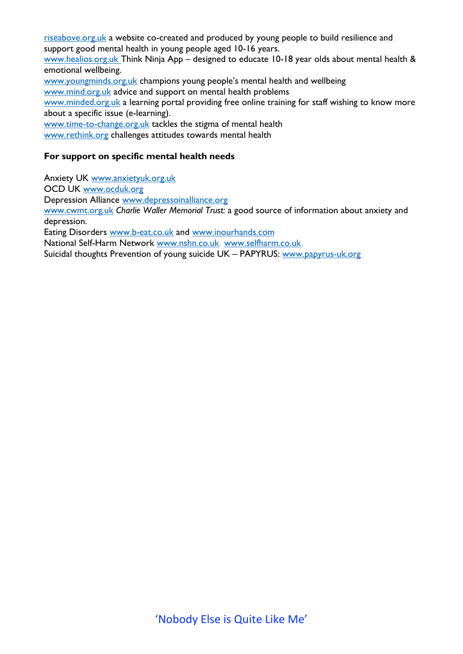riseabove.org.uk a website co-created and produced by young people to build resilience and support good mental health in young people aged 10-16 years. [www.healios.org.uk](http://www.healios.org.uk/) Think Ninja App – designed to educate 10-18 year olds about mental health & emotional wellbeing. [www.youngminds.org.uk](http://www.youngminds.org.uk/) champions young people's mental health and wellbeing [www.mind.org.uk](http://www.mind.org.uk/) advice and support on mental health problems [www.minded.org.uk](http://www.minded.org.uk/) a learning portal providing free online training for staff wishing to know more about a specific issue (e-learning). [www.time-to-change.org.uk](http://www.time-to-change.org.uk/) tackles the stigma of mental health [www.rethink.org](http://www.rethink.org/) challenges attitudes towards mental health

#### **For support on specific mental health needs**

Anxiety UK [www.anxietyuk.org.uk](http://www.anxietyuk.org.uk/) OCD UK [www.ocduk.org](http://www.ocduk.org/) Depression Alliance [www.depressoinalliance.org](http://www.depressoinalliance.org/) [www.cwmt.org.uk](http://www.cwmt.org.uk/) *Charlie Waller Memorial Trust:* a good source of information about anxiety and depression. Eating Disorders [www.b-eat.co.uk](http://www.b-eat.co.uk/) and [www.inourhands.com](http://www.inourhands.com/) National Self-Harm Network [www.nshn.co.uk](http://www.nshn.co.uk/) [www.selfharm.co.uk](http://www.selfharm.co.uk/) Suicidal thoughts Prevention of young suicide UK – PAPYRUS: [www.papyrus-uk.org](http://www.papyrus-uk.org/)